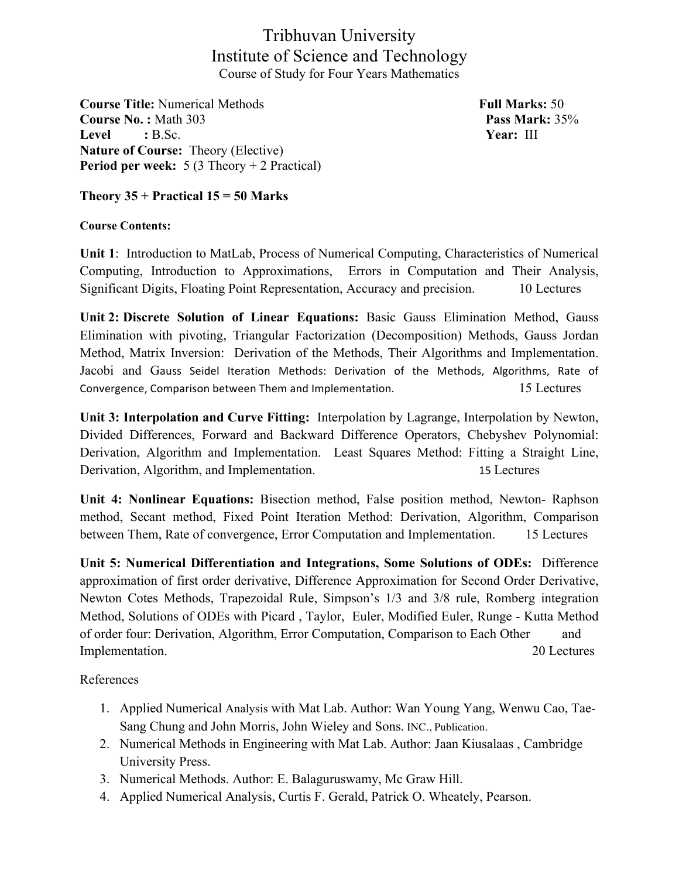Tribhuvan University Institute of Science and Technology Course of Study for Four Years Mathematics

**Course Title:** Numerical Methods **Full Marks:** 50 **Course No. :** Math 303 **Pass Mark:** 35% **Level :** B.Sc. **Year:** III **Nature of Course:** Theory (Elective) **Period per week:** 5 (3 Theory + 2 Practical)

## **Theory 35 + Practical 15 = 50 Marks**

## **Course Contents:**

**Unit 1**: Introduction to MatLab, Process of Numerical Computing, Characteristics of Numerical Computing, Introduction to Approximations, Errors in Computation and Their Analysis, Significant Digits, Floating Point Representation, Accuracy and precision. 10 Lectures

**Unit 2: Discrete Solution of Linear Equations:** Basic Gauss Elimination Method, Gauss Elimination with pivoting, Triangular Factorization (Decomposition) Methods, Gauss Jordan Method, Matrix Inversion: Derivation of the Methods, Their Algorithms and Implementation. Jacobi and Gauss Seidel Iteration Methods: Derivation of the Methods, Algorithms, Rate of Convergence, Comparison between Them and Implementation. 15 Lectures

**Unit 3: Interpolation and Curve Fitting:** Interpolation by Lagrange, Interpolation by Newton, Divided Differences, Forward and Backward Difference Operators, Chebyshev Polynomial: Derivation, Algorithm and Implementation. Least Squares Method: Fitting a Straight Line, Derivation, Algorithm, and Implementation. 15 Lectures

**Unit 4: Nonlinear Equations:** Bisection method, False position method, Newton- Raphson method, Secant method, Fixed Point Iteration Method: Derivation, Algorithm, Comparison between Them, Rate of convergence, Error Computation and Implementation. 15 Lectures

**Unit 5: Numerical Differentiation and Integrations, Some Solutions of ODEs:** Difference approximation of first order derivative, Difference Approximation for Second Order Derivative, Newton Cotes Methods, Trapezoidal Rule, Simpson's 1/3 and 3/8 rule, Romberg integration Method, Solutions of ODEs with Picard , Taylor, Euler, Modified Euler, Runge - Kutta Method of order four: Derivation, Algorithm, Error Computation, Comparison to Each Other and Implementation. 20 Lectures

References

- 1. Applied Numerical Analysis with Mat Lab. Author: Wan Young Yang, Wenwu Cao, Tae-Sang Chung and John Morris, John Wieley and Sons. INC., Publication.
- 2. Numerical Methods in Engineering with Mat Lab. Author: Jaan Kiusalaas , Cambridge University Press.
- 3. Numerical Methods. Author: E. Balaguruswamy, Mc Graw Hill.
- 4. Applied Numerical Analysis, Curtis F. Gerald, Patrick O. Wheately, Pearson.